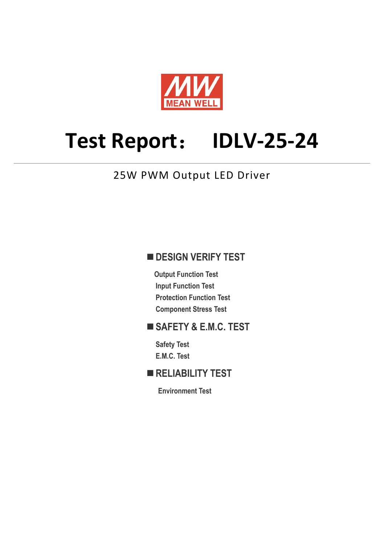

# **Test Report**: **IDLV-25-24**

## 25W PWM Output LED Driver

## **DESIGN VERIFY TEST**

**Output Function Test Input Function Test Protection Function Test Component Stress Test** 

## **SAFETY & E.M.C. TEST**

**Safety Test E.M.C. Test** 

## **RELIABILITY TEST**

**Environment Test**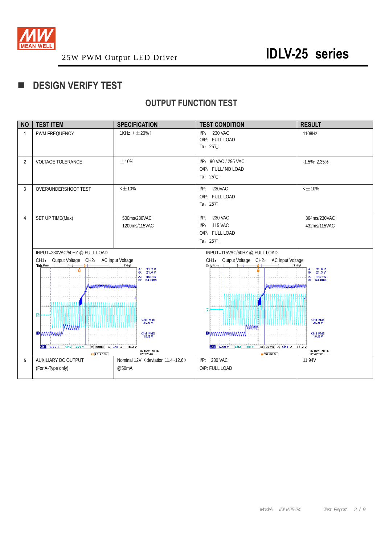

## **DESIGN VERIFY TEST**

## **OUTPUT FUNCTION TEST**

| <b>NO</b>      | <b>TEST ITEM</b>                                                                                                                                                                                                                                                            | <b>SPECIFICATION</b>                                                   | <b>TEST CONDITION</b>                                                                              | <b>RESULT</b>                                                         |  |
|----------------|-----------------------------------------------------------------------------------------------------------------------------------------------------------------------------------------------------------------------------------------------------------------------------|------------------------------------------------------------------------|----------------------------------------------------------------------------------------------------|-----------------------------------------------------------------------|--|
| 1              | PWM FREQUENCY                                                                                                                                                                                                                                                               | 1KHz (±20%)                                                            | $I/P: 230$ VAC<br>O/P: FULL LOAD<br>Ta: $25^{\circ}$ C                                             | 1108Hz                                                                |  |
| $\overline{2}$ | <b>VOLTAGE TOLERANCE</b>                                                                                                                                                                                                                                                    | ±10%                                                                   | I/P: 90 VAC / 295 VAC<br>O/P: FULL/ NO LOAD<br>Ta: 25°C                                            | $-1.5\% - 2.35\%$                                                     |  |
| 3              | OVER/UNDERSHOOT TEST                                                                                                                                                                                                                                                        | $<$ $\pm$ 10%                                                          | I/P: 230VAC<br>O/P: FULL LOAD<br>Ta: $25^{\circ}$ C                                                | $<$ $\pm$ 10%                                                         |  |
| 4              | SET UP TIME(Max)                                                                                                                                                                                                                                                            | 500ms/230VAC<br>1200ms/115VAC                                          | 230 VAC<br>$I/P$ :<br><b>115 VAC</b><br>$I/P$ :<br>O/P: FULL LOAD<br>Ta: 25°C                      | 364ms/230VAC<br>432ms/115VAC                                          |  |
|                | INPUT=230VAC/50HZ @ FULL LOAD                                                                                                                                                                                                                                               |                                                                        | INPUT=115VAC/60HZ @ FULL LOAD                                                                      |                                                                       |  |
|                | Output Voltage CH2: AC Input Voltage<br>CH1:<br>Tek Run<br>Û<br>10000000<br>LA ALE A A ALE LA ALE ALA LA ELA ALE                                                                                                                                                            | Trig?<br>$^{21.2}_{21.6}$ V<br>Δ:<br>@:<br>364ms<br>Δ:<br>64.0ms<br>@: | Output Voltage CH2: AC Input Voltage<br>CH1:<br>Tek Run<br>Trig?<br>Muuttummuuttuminnittumis<br>12 | $^{21.9}_{21.5}$ V<br>Δ:<br>Φ.<br>$\Delta$ :<br>432ms<br>@:<br>64.0ms |  |
|                | 2<br>Ch1 Max<br>25.9 V<br><b>MAMM</b><br><b>DEMMMMMM</b><br>Ch1 RMS<br>18.5 V<br>M 100ms A Ch1 J 18.2 V<br>$\begin{array}{ c c c c c }\n\hline\n\textbf{G}} & \textbf{5.00 V} & \textbf{Ch2} & \textbf{250 V} \\ \hline\n\end{array}$<br>16 Dec 2016<br>17:27:48<br>140.40% |                                                                        | <b>MMM</b>                                                                                         | Ch1 Max<br>25.9 V                                                     |  |
|                |                                                                                                                                                                                                                                                                             |                                                                        | Dhaaaaaaaaaaaa<br>M 100ms A Ch1 J 18.2 V<br>$31$ 5.00 V Ch <sub>2</sub> 100 V<br>150.00%           | Ch1 RMS<br>16.8 V<br>16 Dec 2016<br>17:42:37                          |  |
| 5              | AUXILIARY DC OUTPUT                                                                                                                                                                                                                                                         | Nominal 12V (deviation 11.4~12.6)                                      | I/P: 230 VAC                                                                                       | 11.94V                                                                |  |
|                | (For A-Type only)                                                                                                                                                                                                                                                           | @50mA                                                                  | O/P: FULL LOAD                                                                                     |                                                                       |  |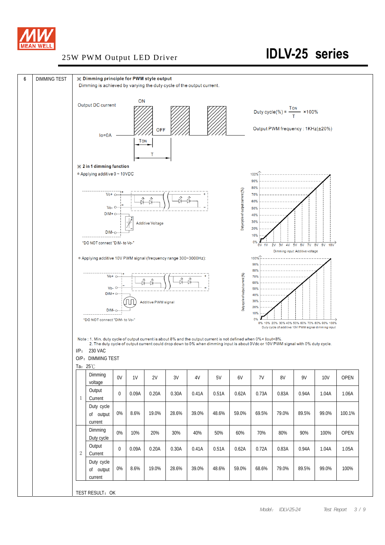

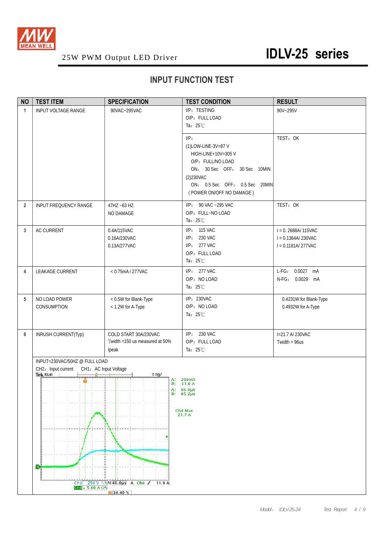

## **INPUT FUNCTION TEST**

| <b>NO</b>      | <b>TEST ITEM</b>                                       | <b>SPECIFICATION</b>                                                  | <b>TEST CONDITION</b>                                                                                                                                                             | <b>RESULT</b>                                                        |  |  |  |
|----------------|--------------------------------------------------------|-----------------------------------------------------------------------|-----------------------------------------------------------------------------------------------------------------------------------------------------------------------------------|----------------------------------------------------------------------|--|--|--|
| $\mathbf{1}$   | <b>INPUT VOLTAGE RANGE</b>                             | 90VAC~295VAC                                                          | I/P: TESTING<br>O/P: FULL LOAD<br>Ta: $25^{\circ}$ C                                                                                                                              | 90V~295V                                                             |  |  |  |
|                |                                                        |                                                                       | I/P:<br>(1)LOW-LINE-3V=87 V<br>HIGH-LINE+10V=305V<br>O/P: FULL/NO LOAD<br>ON: 30 Sec OFF: 30 Sec 10MIN<br>(2)230VAC<br>ON: 0.5 Sec OFF: 0.5 Sec 20MIN<br>(POWER ON/OFF NO DAMAGE) | TEST: OK                                                             |  |  |  |
| $\overline{2}$ | <b>INPUT FREQUENCY RANGE</b>                           | 47HZ ~63 HZ<br>NO DAMAGE                                              | I/P: 90 VAC ~295 VAC<br>O/P: FULL~NO LOAD<br>Ta: $25^{\circ}$ C                                                                                                                   | TEST: OK                                                             |  |  |  |
| 3              | <b>AC CURRENT</b>                                      | 0.4A/115VAC<br>0.16A/230VAC<br>0.13A/277VAC                           | I/P: 115 VAC<br>I/P: 230 VAC<br>I/P: 277 VAC<br>O/P: FULL LOAD<br>Ta: $25^{\circ}$ C                                                                                              | $I = 0.2688A/115VAC$<br>$I = 0.1364A/230VAC$<br>$I = 0.1181A/277VAC$ |  |  |  |
| 4              | LEAKAGE CURRENT                                        | < 0.75mA / 277VAC                                                     | I/P: 277 VAC<br>O/P: NO LOAD<br>Ta: $25^{\circ}$ C                                                                                                                                | L-FG: 0.0027 mA<br>N-FG: 0.0029 mA                                   |  |  |  |
| 5              | NO LOAD POWER<br>CONSUMPTION                           | < 0.5W for Blank-Type<br>< 1.2W for A-Type                            | I/P: 230VAC<br>O/P: NO LOAD<br>Ta: $25^{\circ}$ C                                                                                                                                 | 0.4231W for Blank-Type<br>0.4932W for A-Type                         |  |  |  |
| 6              | INRUSH CURRENT(Typ)                                    | COLD START 30A/230VAC<br>Twidth =150 us measured at 50%<br>Ipeak      | I/P: 230 VAC<br>O/P: FULL LOAD<br>Ta: $25^{\circ}$ C                                                                                                                              | I=21.7 A/230VAC<br>Twidth = $96us$                                   |  |  |  |
|                | INPUT=230VAC/50HZ @ FULL LOAD                          |                                                                       |                                                                                                                                                                                   |                                                                      |  |  |  |
|                | CH2: Input current<br>CH1: AC Input Voltage<br>Tek Run | Trig?                                                                 |                                                                                                                                                                                   |                                                                      |  |  |  |
|                | Û                                                      | $\Delta$ : 200mA<br>@: 11.0 A<br>$\Delta$ : 96.0µs<br>$@: 95.2 \mu s$ |                                                                                                                                                                                   |                                                                      |  |  |  |
|                |                                                        |                                                                       | Ch <sub>4</sub> Max<br>21.7 A                                                                                                                                                     |                                                                      |  |  |  |
|                | Ð                                                      | <b>MANAGEMENT</b>                                                     |                                                                                                                                                                                   |                                                                      |  |  |  |
|                | Ch2<br>$Ch4 + 5.00 A \Omega$                           | 250 V \ N 40.0us A Ch4 F<br>11.9 A                                    |                                                                                                                                                                                   |                                                                      |  |  |  |
|                | $\sqrt{34.40\%}$                                       |                                                                       |                                                                                                                                                                                   |                                                                      |  |  |  |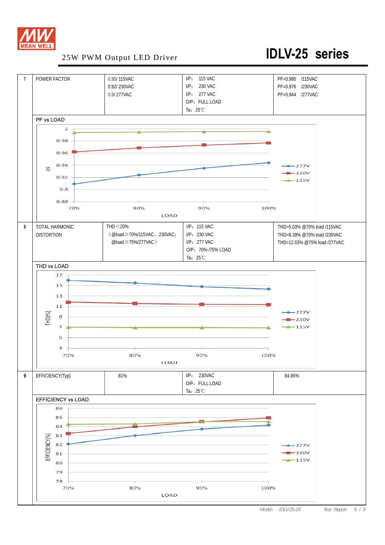

## 25W PWM Output LED Driver **IDLV-25 series**

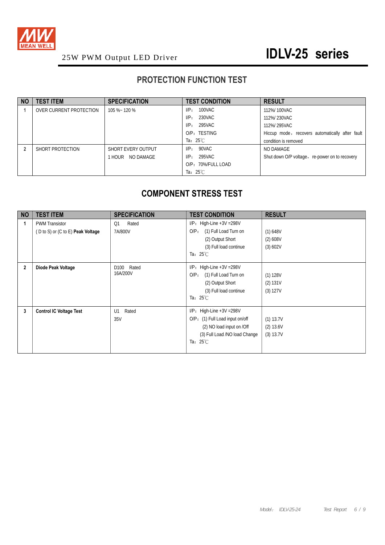

## **PROTECTION FUNCTION TEST**

| <b>NO</b> | <b>TEST ITEM</b>        | <b>SPECIFICATION</b> | <b>TEST CONDITION</b> | <b>RESULT</b>                                   |
|-----------|-------------------------|----------------------|-----------------------|-------------------------------------------------|
|           | OVER CURRENT PROTECTION | 105 %~ 120 %         | 100VAC<br>$I/P$ :     | 112%/100VAC                                     |
|           |                         |                      | 230VAC<br>$I/P$ :     | 112%/230VAC                                     |
|           |                         |                      | 295VAC<br>$I/P$ :     | 112%/295VAC                                     |
|           |                         |                      | O/P: TESTING          | Hiccup mode, recovers automatically after fault |
|           |                         |                      | Ta: $25^{\circ}$ C    | condition is removed                            |
|           | SHORT PROTECTION        | SHORT EVERY OUTPUT   | 90VAC<br>$I/P$ :      | NO DAMAGE                                       |
|           |                         | NO DAMAGE<br>1 HOUR- | 295VAC<br>$I/P$ :     | Shut down O/P voltage, re-power on to recovery  |
|           |                         |                      | O/P: 70%/FULL LOAD    |                                                 |
|           |                         |                      | Ta: $25^{\circ}$ C    |                                                 |

## **COMPONENT STRESS TEST**

| <b>NO</b>      | <b>TEST ITEM</b>                                                                        | <b>SPECIFICATION</b>               | <b>TEST CONDITION</b>                                                                                                                               | <b>RESULT</b>                       |
|----------------|-----------------------------------------------------------------------------------------|------------------------------------|-----------------------------------------------------------------------------------------------------------------------------------------------------|-------------------------------------|
|                | <b>PWM Transistor</b><br>$(D \text{ to } S)$ or $(C \text{ to } E)$ <b>Peak Voltage</b> | Rated<br>Q <sub>1</sub><br>7A/800V | $I/P$ : High-Line +3V = 298V<br>(1) Full Load Turn on<br>$O/P$ :<br>(2) Output Short<br>(3) Full load continue<br>Ta: $25^{\circ}$ C                | (1) 648V<br>(2) 608V<br>(3) 602V    |
| $\overline{2}$ | Diode Peak Voltage                                                                      | D <sub>100</sub> Rated<br>16A/200V | $I/P$ : High-Line +3V = 298V<br>(1) Full Load Turn on<br>$O/P$ :<br>(2) Output Short<br>(3) Full load continue<br>Ta: $25^{\circ}$ C                | (1) 128V<br>(2) 131V<br>(3) 127V    |
| 3              | <b>Control IC Voltage Test</b>                                                          | Rated<br>U1<br>35V                 | $I/P$ : High-Line +3V = 298V<br>O/P: (1) Full Load input on/off<br>(2) NO load input on /Off<br>(3) Full Load /NO load Change<br>Ta: $25^{\circ}$ C | (1) 13.7V<br>(2) 13.6V<br>(3) 13.7V |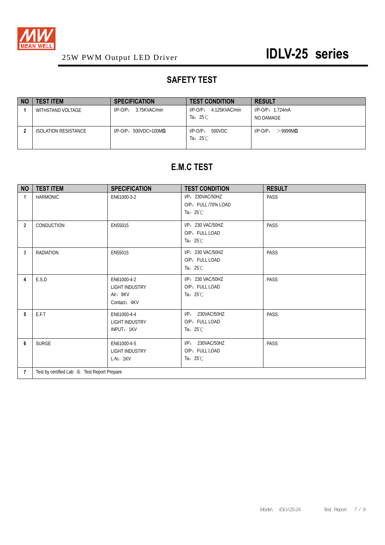

## **SAFETY TEST**

| <b>NO</b> | <b>TEST ITEM</b>     | <b>SPECIFICATION</b>             | <b>TEST CONDITION</b>                           | <b>RESULT</b>             |
|-----------|----------------------|----------------------------------|-------------------------------------------------|---------------------------|
|           | WITHSTAND VOLTAGE    | 3.75KVAC/min<br>$I/P-O/P$ :      | 4.125KVAC/min<br>$I/P$ -O/P:                    | $I/P$ -O/P: 1.724mA       |
|           |                      |                                  | Ta: $25^{\circ}$ C                              | NO DAMAGE                 |
|           | ISOLATION RESISTANCE | $I/P$ -O/P: 500VDC>100M $\Omega$ | 500VDC<br>$I/P$ - $O/P$ :<br>Ta: $25^{\circ}$ C | $>$ 9999MQ<br>$I/P$ -O/P: |

## **E.M.C TEST**

| <b>NO</b>      | <b>TEST ITEM</b>                            | <b>SPECIFICATION</b>                                      | <b>TEST CONDITION</b>                                         | <b>RESULT</b> |  |  |
|----------------|---------------------------------------------|-----------------------------------------------------------|---------------------------------------------------------------|---------------|--|--|
| 1              | <b>HARMONIC</b>                             | EN61000-3-2                                               | I/P: 230VAC/50HZ<br>O/P: FULL /70% LOAD<br>Ta: $25^{\circ}$ C | PASS          |  |  |
| $\overline{2}$ | CONDUCTION                                  | EN55015                                                   | I/P: 230 VAC/50HZ<br>O/P: FULL LOAD<br>Ta: $25^{\circ}$ C     | PASS          |  |  |
| 3              | <b>RADIATION</b>                            | EN55015                                                   | I/P: 230 VAC/50HZ<br>O/P: FULL LOAD<br>Ta: $25^{\circ}$ C     | PASS          |  |  |
| 4              | E.S.D                                       | EN61000-4-2<br>LIGHT INDUSTRY<br>Air: 8KV<br>Contact: 4KV | I/P: 230 VAC/50HZ<br>O/P: FULL LOAD<br>Ta: $25^{\circ}$ C     | PASS          |  |  |
| 5              | E.F.T                                       | EN61000-4-4<br><b>LIGHT INDUSTRY</b><br>INPUT: 1KV        | I/P: 230VAC/50HZ<br>O/P: FULL LOAD<br>Ta: $25^{\circ}$ C      | PASS          |  |  |
| 6              | <b>SURGE</b>                                | EN61000-4-5<br><b>LIGHT INDUSTRY</b><br>$L-N: 1KV$        | I/P: 230VAC/50HZ<br>O/P: FULL LOAD<br>Ta: $25^{\circ}$ C      | PASS          |  |  |
| $\overline{7}$ | Test by certified Lab & Test Report Prepare |                                                           |                                                               |               |  |  |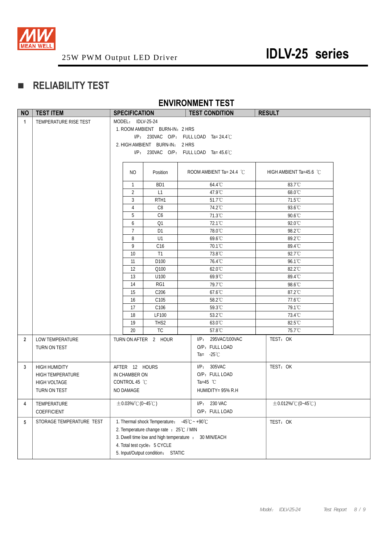

## **RELIABILITY TEST**

## **ENVIRONMENT TEST**

| <b>NO</b>      | <b>TEST ITEM</b>         | <b>SPECIFICATION</b>    |                                             | <b>TEST CONDITION</b>                                | <b>RESULT</b>              |
|----------------|--------------------------|-------------------------|---------------------------------------------|------------------------------------------------------|----------------------------|
| $\mathbf{1}$   | TEMPERATURE RISE TEST    | MODEL: IDLV-25-24       |                                             |                                                      |                            |
|                |                          |                         | 1. ROOM AMBIENT BURN-IN: 2 HRS              |                                                      |                            |
|                |                          |                         |                                             | $I/P$ : 230VAC O/P: FULL LOAD Ta= 24.4°C             |                            |
|                |                          |                         | 2. HIGH AMBIENT BURN-IN: 2 HRS              |                                                      |                            |
|                |                          |                         |                                             | I/P: 230VAC O/P: FULL LOAD Ta= 45.6°C                |                            |
|                |                          |                         |                                             |                                                      |                            |
|                |                          | NO                      | Position                                    | ROOM AMBIENT Ta= 24.4 $^{\circ}$ C                   | HIGH AMBIENT Ta=45.6 °C    |
|                |                          | $\overline{1}$          | BD1                                         | 64.4°C                                               | 83.7°C                     |
|                |                          | $\overline{2}$          | L1                                          | 47.9°C                                               | $68.0^{\circ}$ C           |
|                |                          | 3                       | RTH <sub>1</sub>                            | 51.7°C                                               | 71.5°C                     |
|                |                          | 4                       | C <sub>8</sub>                              | 74.2°C                                               | 93.6°C                     |
|                |                          | 5                       | C6                                          | 71.3°C                                               | 90.6°C                     |
|                |                          | 6                       | Q1                                          | 72.1°C                                               | 92.0°C                     |
|                |                          | $7\overline{ }$         | D <sub>1</sub>                              | 78.0°C                                               | 98.2°C                     |
|                |                          | 8                       | U1                                          | 69.6°C                                               | 89.2°C                     |
|                |                          | 9                       | C16                                         | 70.1°C                                               | 89.4°C                     |
|                |                          | 10                      | T1                                          | 73.8°C                                               | 92.7°C                     |
|                |                          | 11                      | D100                                        | 76.4°C                                               | 96.1°C                     |
|                |                          | 12                      | Q100                                        | 62.0°C                                               | 82.2°C                     |
|                |                          | 13                      | U100                                        | 69.9°C                                               | 89.4°C                     |
|                |                          | 14                      | RG1                                         | 79.7°C                                               | 98.6°C                     |
|                |                          | 15                      | C <sub>206</sub>                            | 67.6°C                                               | 87.2°C                     |
|                |                          | 16                      | C <sub>105</sub>                            | 58.2°C                                               | 77.6°C                     |
|                |                          | 17                      | C <sub>106</sub>                            | 59.3°C<br>53.2°C                                     | 79.1°C                     |
|                |                          | 18<br>19                | <b>LF100</b><br>THS <sub>2</sub>            | $63.0^{\circ}$ C                                     | 73.4°C<br>$82.5^{\circ}$ C |
|                |                          | 20                      | <b>TC</b>                                   | 57.8°C                                               | 75.7°C                     |
|                |                          |                         |                                             |                                                      |                            |
| $\overline{2}$ | LOW TEMPERATURE          |                         | TURN ON AFTER 2 HOUR                        | I/P: 295VAC/100VAC<br>O/P: FULL LOAD                 | TEST: OK                   |
|                | TURN ON TEST             |                         |                                             | Ta= $-25^{\circ}$ C                                  |                            |
|                |                          |                         |                                             |                                                      |                            |
| 3              | <b>HIGH HUMIDITY</b>     | AFTER 12 HOURS          |                                             | I/P: 305VAC                                          | TEST: OK                   |
|                | <b>HIGH TEMPERATURE</b>  | IN CHAMBER ON           |                                             | O/P: FULL LOAD                                       |                            |
|                | HIGH VOLTAGE             | CONTROL 45 °C           |                                             | Ta=45 $^{\circ}$ C                                   |                            |
|                | TURN ON TEST             | NO DAMAGE               |                                             | HUMIDITY= 95% R.H                                    |                            |
| 4              | TEMPERATURE              | $\pm$ 0.03%/°C (0~45°C) |                                             | 230 VAC<br>$I/P$ :                                   | $\pm$ 0.012%/°C (0~45°C)   |
|                | COEFFICIENT              |                         |                                             | O/P: FULL LOAD                                       |                            |
| 5              | STORAGE TEMPERATURE TEST |                         | 1. Thermal shock Temperature: -45°C ~ +90°C |                                                      | TEST: OK                   |
|                |                          |                         | 2. Temperature change rate : 25°C / MIN     |                                                      |                            |
|                |                          |                         |                                             | 3. Dwell time low and high temperature : 30 MIN/EACH |                            |
|                |                          |                         | 4. Total test cycle: 5 CYCLE                |                                                      |                            |
|                |                          |                         | 5. Input/Output condition: STATIC           |                                                      |                            |
|                |                          |                         |                                             |                                                      |                            |